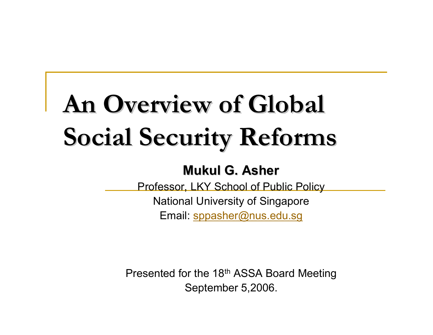# An Overview of Global **Social Security Reforms Social Security Reforms**

#### **Mukul G. Asher Mukul G. Asher**

Professor, LKY School of Public Policy

National University of Singapore Email: [sppasher@nus.edu.sg](mailto:sppasher@nus.edu.sg)

Presented for the 18th ASSA Board Meeting September 5,2006.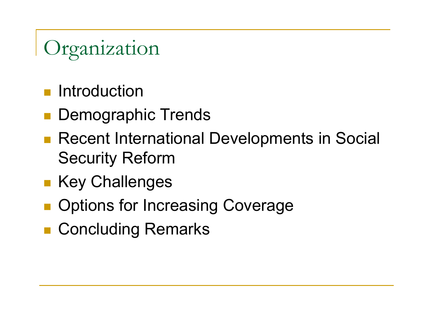### Organization

- Introduction
- Demographic Trends
- Recent International Developments in Social Security Reform
- **Example Key Challenges**
- **Deparations for Increasing Coverage**
- Concluding Remarks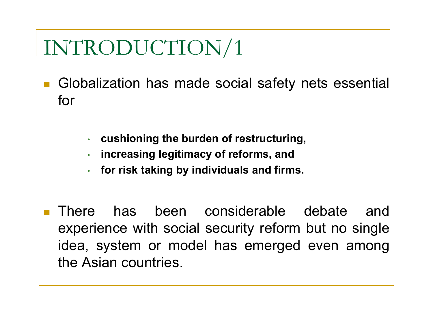- **Globalization has made social safety nets essential** for
	- •**cushioning the burden of restructuring,**
	- •**increasing legitimacy of reforms, and**
	- •**for ris k taking by individuals and firms.**
- $\overline{\phantom{a}}$  There has been considerable debate and experience with social security reform but no single idea, system or model has emerged even among the Asian countries.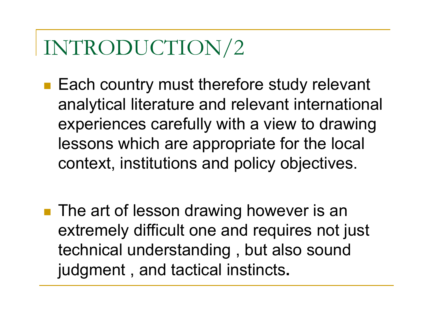- Each country must therefore study relevant analytical literature and relevant international experiences carefully with a view to drawing lessons which are appropriate for the local context, institutions and policy objectives.
- **The art of lesson drawing however is an** extremely difficult one and requires not just technical understanding , but also sound judgment , and tactical instincts**.**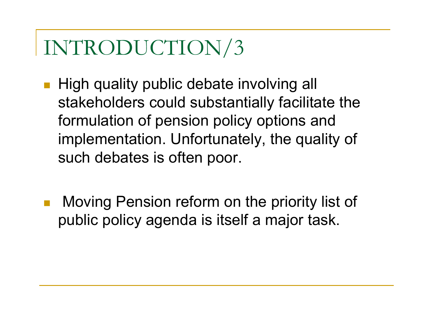- High quality public debate involving all stakeholders could substantially facilitate the formulation of pension policy options and implementation. Unfortunately, the quality of such debates is often poor.
- $\overline{\phantom{a}}$  Moving Pension reform on the priority list of public policy agenda is itself a major task.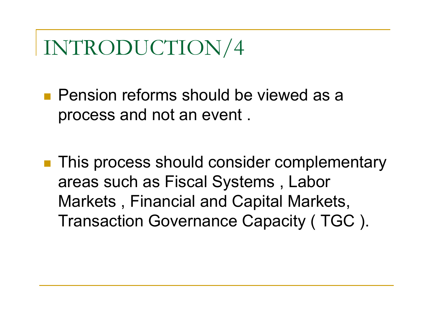**Pension reforms should be viewed as a** process and not an event .

**This process should consider complementary** areas such as Fiscal Systems , Labor Markets , Financial and Capital Markets, Transaction Governance Capacity ( TGC ).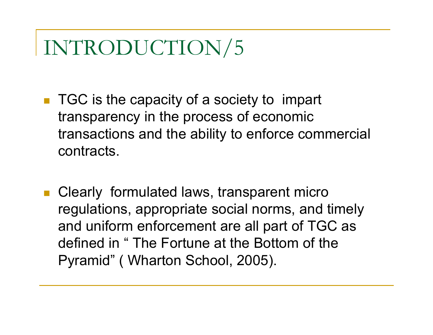- TGC is the capacity of a society to impart transparency in the process of economic transactions and the ability to enforce commercial contracts.
- Clearly formulated laws, transparent micro regulations, appropriate social norms, and timely and uniform enforcement are all part of TGC as defined in "The Fortune at the Bottom of the Pyramid" ( Wharton School, 2005).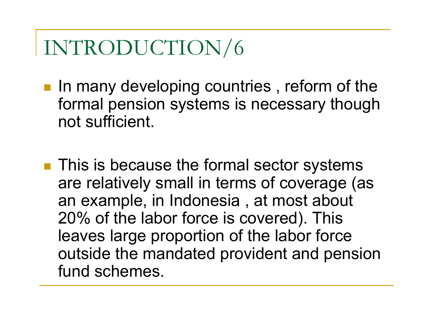- **IF In many developing countries, reform of the** formal pension systems is necessary though not sufficient.
- **This is because the formal sector systems** are relatively small in terms of coverage (as an example, in Indonesia , at most about 20% of the labor force is covered). This leaves large proportion of the labor force outside the mandated provident and pension fund schemes.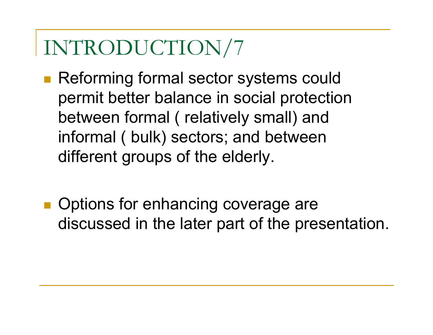■ Reforming formal sector systems could permit better balance in social protection between formal ( relatively small) and informal ( bulk) sectors; and between different groups of the elderly.

**Options for enhancing coverage are** discussed in the later part of the presentation.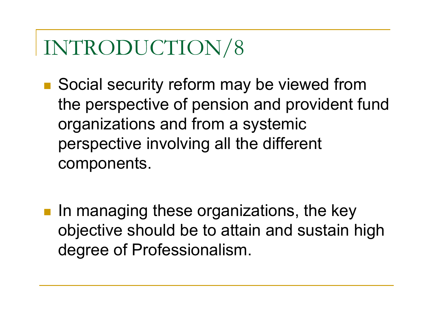- Social security reform may be viewed from the perspective of pension and provident fund organizations and from a systemic perspective involving all the different components.
- **IF In managing these organizations, the key** objective should be to attain and sustain high degree of Professionalism.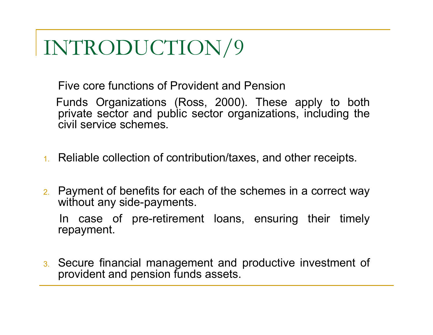Five core functions of Provident and Pension

Funds Organizations (Ross, 2000). These apply to both private sector and public sector organizations, including the civil service schemes.

- 1. Reliable collection of contribution/taxes, and other receipts.
- 2. Payment of benefits for each of the schemes in a correct way without any side-payments.

In case of pre-retirement loans, ensuring their timely repayment.

3. Secure financial management and productive investment of provident and pension funds assets.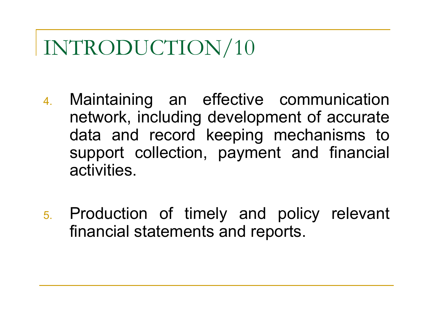- 4. Maintaining an effective communication network, including development of accurate data and record keeping mechanisms to support collection, payment and financial activities.
- 5. Production of timely and policy relevant financial statements and reports.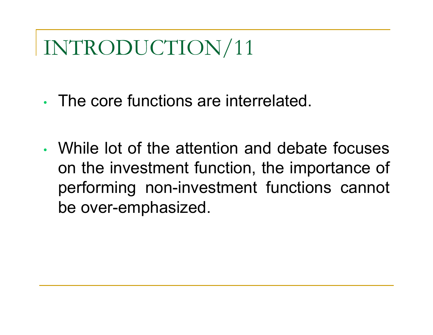- The core functions are interrelated.
- While lot of the attention and debate focuses on the investment function, the importance of performing non-investment functions cannot be over-emphasized.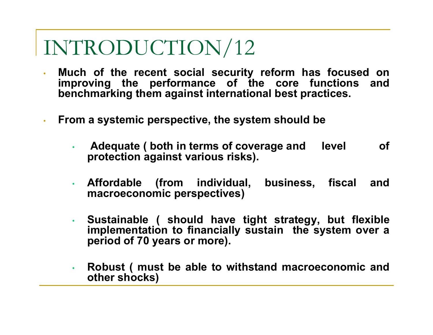- • **Much of the recent social security reform has focused on improving the performance of the core functions and benchmarking them against international best practices.**
- • **From a systemic perspective, the system should be** 
	- • **Adequate ( both in terms of coverage and level of protection against various risks).**
	- • **Affordable (from individual, business, fiscal and macroeconomic perspectives)**
	- • **Sustainable ( should have tight strategy, but flexible implementation to financially sustain the system over a period of 70 years or more).**
	- • **Robust ( must be able to withstand macroeconomic and other shocks)**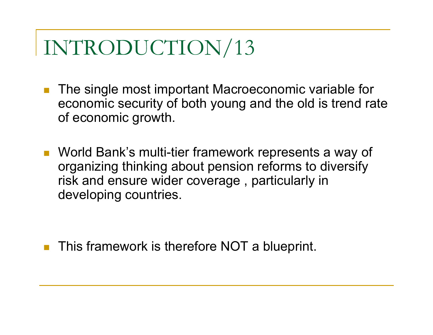- $\left\vert \cdot\right\vert$  The single most important Macroeconomic variable for economic security of both young and the old is trend rate of economic growth.
- World Bank's multi-tier framework represents a way of organizing thinking about pension reforms to diversify risk and ensure wider coverage , particularly in developing countries.

This framework is therefore NOT a blueprint.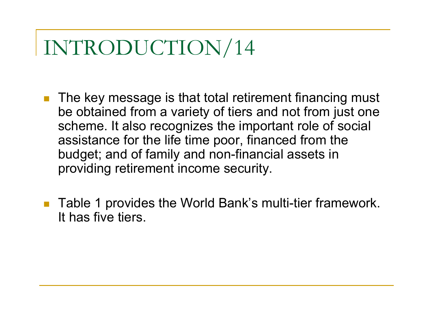- $\mathbb{R}^3$  The key message is that total retirement financing must be obtained from a variety of tiers and not from just one scheme. It also recognizes the important role of social assistance for the life time poor, financed from the budget; and of family and non-financial assets in providing retirement income security.
- $\mathbb{R}^3$  Table 1 provides the World Bank's multi-tier framework. It has five tiers.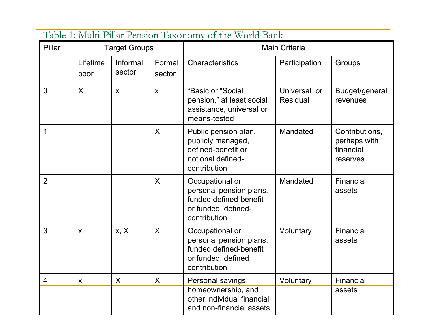| Table 1: Multi-Pillar Pension Taxonomy of the World Bank |                           |                    |                  |                                                                                                             |                                 |                                                         |  |
|----------------------------------------------------------|---------------------------|--------------------|------------------|-------------------------------------------------------------------------------------------------------------|---------------------------------|---------------------------------------------------------|--|
| Pillar                                                   | <b>Target Groups</b>      |                    |                  | <b>Main Criteria</b>                                                                                        |                                 |                                                         |  |
|                                                          | Lifetime<br>poor          | Informal<br>sector | Formal<br>sector | Characteristics                                                                                             | Participation                   | Groups                                                  |  |
| $\overline{0}$                                           | $\sf X$                   | $\mathsf{X}$       | $\mathsf{X}$     | "Basic or "Social<br>pension," at least social<br>assistance, universal or<br>means-tested                  | Universal or<br><b>Residual</b> | Budget/general<br>revenues                              |  |
| $\mathbf 1$                                              |                           |                    | $\mathsf{X}$     | Public pension plan,<br>publicly managed,<br>defined-benefit or<br>notional defined-<br>contribution        | Mandated                        | Contributions,<br>perhaps with<br>financial<br>reserves |  |
| $\overline{2}$                                           |                           |                    | $\sf X$          | Occupational or<br>personal pension plans,<br>funded defined-benefit<br>or funded, defined-<br>contribution | Mandated                        | Financial<br>assets                                     |  |
| 3                                                        | $\boldsymbol{\mathsf{X}}$ | x, X               | $\sf X$          | Occupational or<br>personal pension plans,<br>funded defined-benefit<br>or funded, defined<br>contribution  | Voluntary                       | Financial<br>assets                                     |  |
| 4                                                        | X                         | $\sf X$            | X                | Personal savings,                                                                                           | Voluntary                       | Financial                                               |  |
|                                                          |                           |                    |                  | homeownership, and<br>other individual financial<br>and non-financial assets                                |                                 | assets                                                  |  |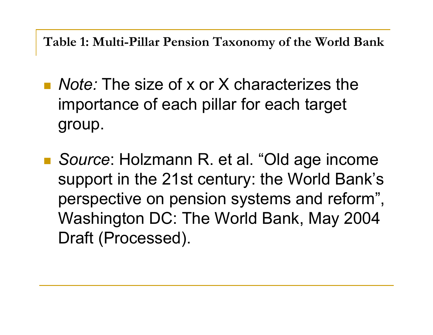**Table 1: Multi-Pillar Pension Taxonomy of the World Bank**

- *Note:* The size of x or X characterizes the importance of each pillar for each target group.
- *Source*: Holzmann R. et al. "Old age income support in the 21st century: the World Bank's perspective on pension systems and reform", Washington DC: The World Bank, May 2004 Draft (Processed).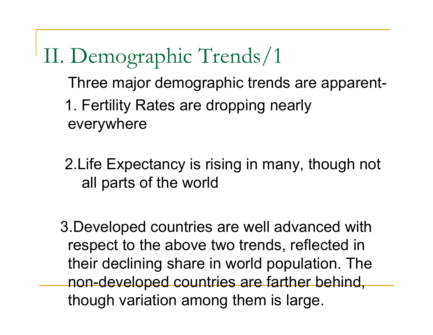II. Demographic Trends/1 Three major demographic trends are apparent-1. Fertility Rates are dropping nearly everywhere

2.Life Expectancy is rising in many, though not all parts of the world

3.Developed countries are well advanced with respect to the above two trends, reflected in their declining share in world population. The non-developed countries are farther behind, though variation among them is large.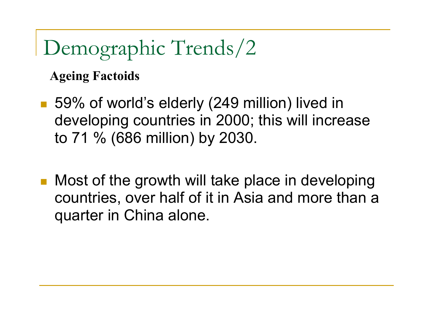**Ageing Factoids** 

- 59% of world's elderly (249 million) lived in developing countries in 2000; this will increase to 71 % (686 million) by 2030.
- Most of the growth will take place in developing countries, over half of it in Asia and more than a quarter in China alone.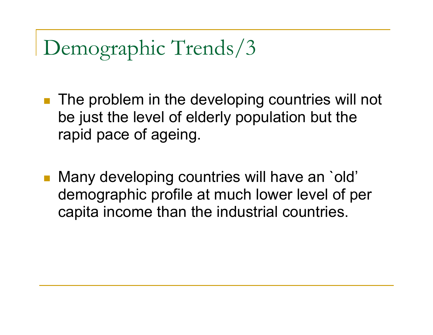- The problem in the developing countries will not be just the level of elderly population but the rapid pace of ageing.
- Many developing countries will have an `old' demographic profile at much lower level of per capita income than the industrial countries.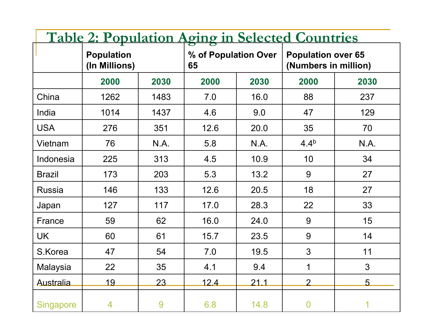| <b>Table 2: Population Aging in Selected Countries</b> |                                    |      |                            |      |                                                   |                 |  |
|--------------------------------------------------------|------------------------------------|------|----------------------------|------|---------------------------------------------------|-----------------|--|
|                                                        | <b>Population</b><br>(In Millions) |      | % of Population Over<br>65 |      | <b>Population over 65</b><br>(Numbers in million) |                 |  |
|                                                        | 2000                               | 2030 | 2000                       | 2030 | 2000                                              | 2030            |  |
| China                                                  | 1262                               | 1483 | 7.0                        | 16.0 | 88                                                | 237             |  |
| India                                                  | 1014                               | 1437 | 4.6                        | 9.0  | 47                                                | 129             |  |
| <b>USA</b>                                             | 276                                | 351  | 12.6                       | 20.0 | 35                                                | 70              |  |
| Vietnam                                                | 76                                 | N.A. | 5.8                        | N.A. | 4.4 <sup>b</sup>                                  | N.A.            |  |
| Indonesia                                              | 225                                | 313  | 4.5                        | 10.9 | 10                                                | 34              |  |
| <b>Brazil</b>                                          | 173                                | 203  | 5.3                        | 13.2 | 9                                                 | 27              |  |
| <b>Russia</b>                                          | 146                                | 133  | 12.6                       | 20.5 | 18                                                | 27              |  |
| Japan                                                  | 127                                | 117  | 17.0                       | 28.3 | 22                                                | 33              |  |
| France                                                 | 59                                 | 62   | 16.0                       | 24.0 | 9                                                 | 15              |  |
| <b>UK</b>                                              | 60                                 | 61   | 15.7                       | 23.5 | 9                                                 | 14              |  |
| S.Korea                                                | 47                                 | 54   | 7.0                        | 19.5 | $\overline{3}$                                    | 11              |  |
| Malaysia                                               | 22                                 | 35   | 4.1                        | 9.4  | 1                                                 | 3               |  |
| <b>Australia</b>                                       | <u> 19</u>                         | 23   | 12.4                       | 21.1 | $\mathcal{P}$                                     | $5\overline{)}$ |  |
| <b>Singapore</b>                                       | $\overline{4}$                     | 9    | 6.8                        | 14.8 | $\mathbf 0$                                       | 1               |  |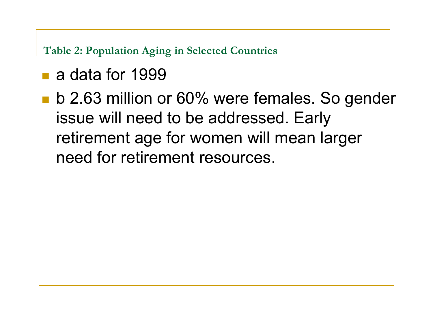**Table 2: Population Aging in Selected Countries**

- a data for 1999
- **b** 2.63 million or 60% were females. So gender issue will need to be addressed. Early retirement age for women will mean larger need for retirement resources.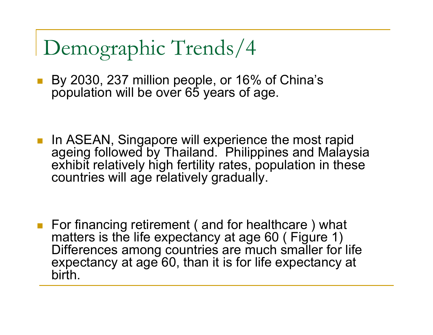■ By 2030, 237 million people, or 16% of China's population will be over 65 years of age.

**If In ASEAN, Singapore will experience the most rapid** ageing followed by Thailand. Philippines and Malaysia exhibit relatively high fertility rates, population in these countries will age relatively gradually.

■ For financing retirement (and for healthcare) what matters is the life expectancy at age 60 (Figure 1) Differences among countries are much smaller for life expectancy at age 60, than it is for life expectancy at birth.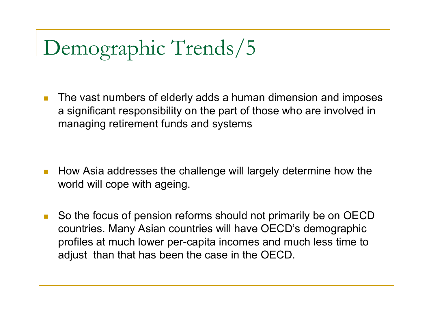**I**  The vast numbers of elderly adds a human dimension and imposes a significant responsibility on the part of those who are involved in managing retirement funds and systems

- **T**  How Asia addresses the challenge will largely determine how the world will cope with ageing.
- $\mathbb{R}^3$  So the focus of pension reforms should not primarily be on OECD countries. Many Asian countries will have OECD's demographic profiles at much lower per-capita incomes and much less time to adjust than that has been the case in the OECD.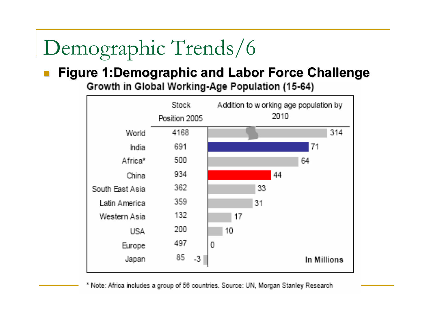#### **Figure 1:Demographic and Labor Force Challenge Figure 1:Demographic and Labor Force Challenge**

Growth in Global Working-Age Population (15-64)



\* Note: Africa includes a group of 56 countries. Source: UN, Morgan Stanley Research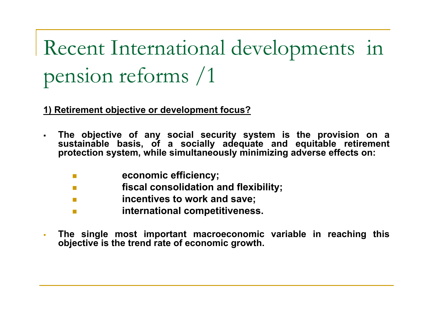**1) Retirement objective or development focus?**

- $\blacksquare$  **The objective of any social security system is the provision on a**  sustainable basis, of a socially adequate and equitable retirement **protection system, while simultaneously minimizing adverse effects on:** 
	- $\sim$ **economic efficiency;**
	- $\mathcal{L}^{\mathcal{L}}$ **fiscal consolidation and flexibility;**
	- F **incentives to work and save;**
	- $\overline{\phantom{a}}$ **international competitiveness.**
- $\overline{\phantom{a}}$  **The single most important macroeconomic variable in reaching this objective is the trend rate of economic growth.**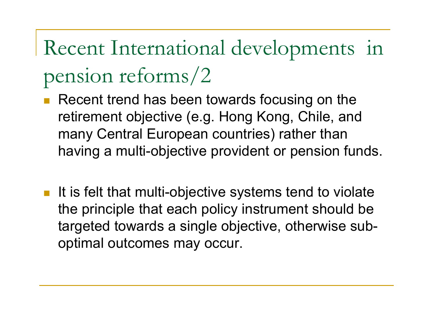- П Recent trend has been towards focusing on the retirement objective (e.g. Hong Kong, Chile, and many Central European countries) rather than having a multi-objective provident or pension funds.
- It is felt that multi-objective systems tend to violate the principle that each policy instrument should be targeted towards a single objective, otherwise suboptimal outcomes may occur.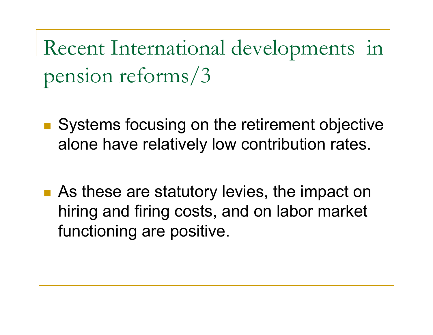- Systems focusing on the retirement objective alone have relatively low contribution rates.
- **As these are statutory levies, the impact on** hiring and firing costs, and on labor market functioning are positive.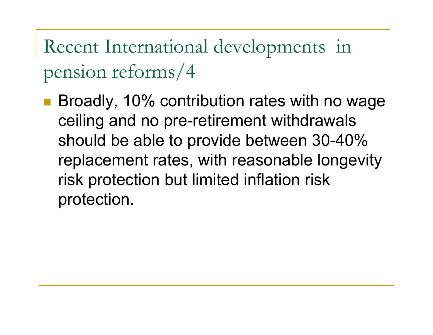Broadly, 10% contribution rates with no wage ceiling and no pre-retirement withdrawals should be able to provide between 30-40% replacement rates, with reasonable longevity risk protection but limited inflation risk protection.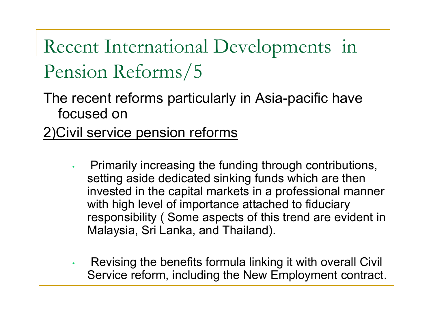The recent reforms particularly in Asia-pacific have focused on

#### 2)Civil service pension reforms

- • Primarily increasing the funding through contributions, setting aside dedicated sinking funds which are then invested in the capital markets in a professional manner with high level of importance attached to fiduciary responsibility ( Some aspects of this trend are evident in Malaysia, Sri Lanka, and Thailand).
- • Revising the benefits formula linking it with overall Civil Service reform, including the New Employment contract.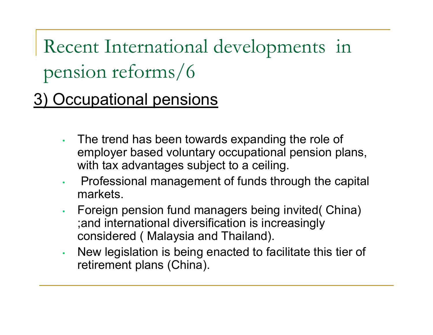3) Occupational pensions

- • The trend has been towards expanding the role of employer based voluntary occupational pension plans, with tax advantages subject to a ceiling.
- • Professional management of funds through the capital markets.
- • Foreign pension fund managers being invited( China) ;and international diversification is increasingly considered ( Malaysia and Thailand).
- • New legislation is being enacted to facilitate this tier of retirement plans (China).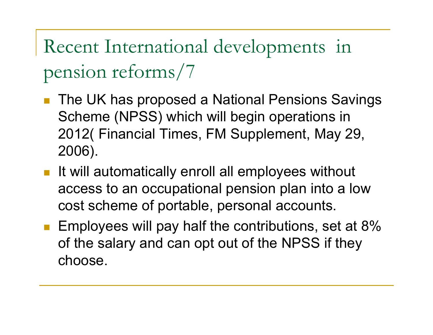- П The UK has proposed a National Pensions Savings Scheme (NPSS) which will begin operations in 2012( Financial Times, FM Supplement, May 29, 2006).
- **If will automatically enroll all employees without** access to an occupational pension plan into a low cost scheme of portable, personal accounts.
- **Employees will pay half the contributions, set at 8%** of the salary and can opt out of the NPSS if they choose.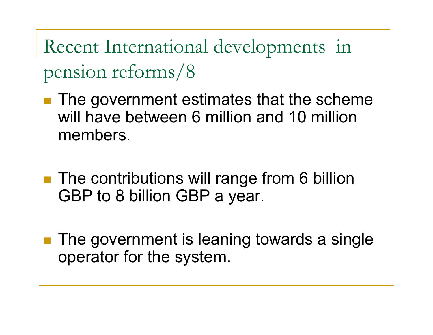- **The government estimates that the scheme** will have between 6 million and 10 million members.
- **The contributions will range from 6 billion** GBP to 8 billion GBP a year.
- **The government is leaning towards a single** operator for the system.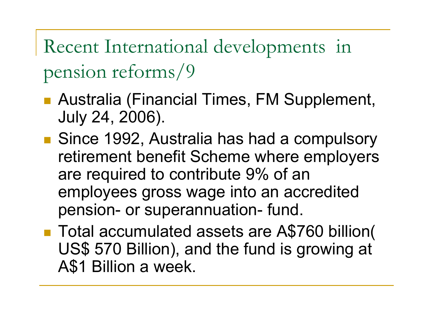- Australia (Financial Times, FM Supplement, July 24, 2006).
- Since 1992, Australia has had a compulsory retirement benefit Scheme where employers are required to contribute 9% of an employees gross wage into an accredited pension- or superannuation- fund.
- Total accumulated assets are A\$760 billion( US\$ 570 Billion), and the fund is growing at A\$1 Billion a week.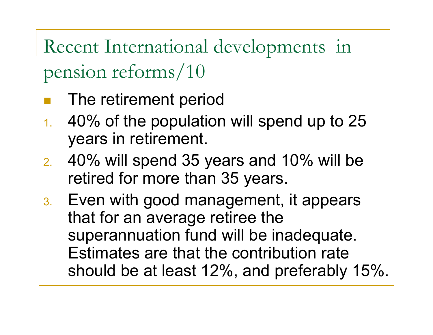- The retirement period
- 1. 40% of the population will spend up to 25 years in retirement.
- 2. 40% will spend 35 years and 10% will be retired for more than 35 years.
- 3. Even with good management, it appears that for an average retiree the superannuation fund will be inadequate. Estimates are that the contribution rate should be at least 12%, and preferably 15%.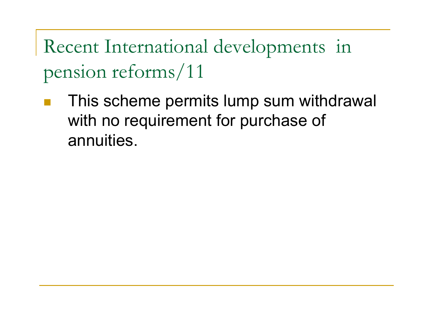This scheme permits lump sum withdrawal with no requirement for purchase of annuities.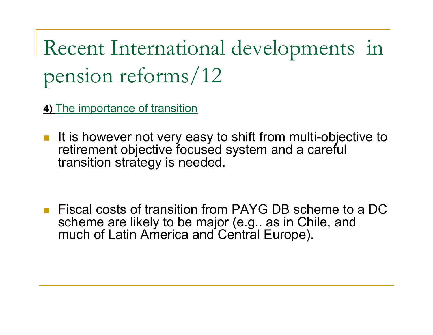**4)** The importance of transition

It is however not very easy to shift from multi-objective to retirement objective focused system and a careful transition strategy is needed.

b. Fiscal costs of transition from PAYG DB scheme to a DC scheme are likely to be major (e.g.. as in Chile, and much of Latin America and Central Europe).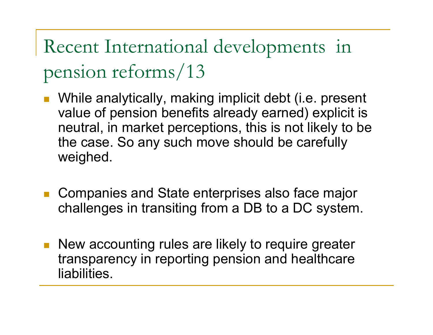- While analytically, making implicit debt (i.e. present value of pension benefits already earned) explicit is neutral, in market perceptions, this is not likely to be the case. So any such move should be carefully weighed.
- Companies and State enterprises also face major challenges in transiting from a DB to a DC system.
- **New accounting rules are likely to require greater** transparency in reporting pension and healthcare liabilities.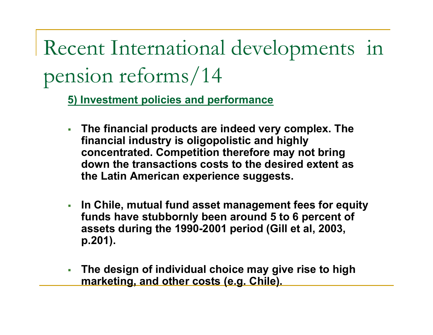**5) Investment policies and performance**

- $\mathcal{L}_{\mathcal{A}}$  **The financial products are indeed very complex. The financial industry is oligopolistic and highly concentrated. Competition therefore may not bring down the transactions costs to the desired extent as the Latin American experience suggests.**
- **In Chile, mutual fund asset management fees for equity funds have stubbornly been around 5 to 6 percent of assets during the 1990-2001 period (Gill et al, 2003, p.201).**
- **The design of individual choice may give rise to high marketing, and other costs (e.g. Chile).**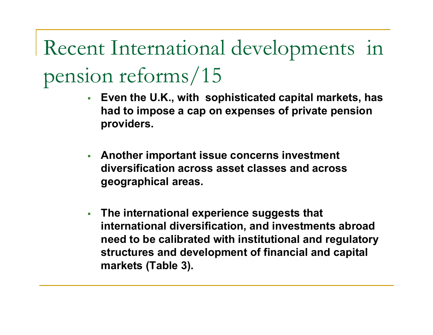- г **Even the U.K., with sophisticated capital markets, has had to impose a cap on expenses of private pension providers.**
- г **Anoth er important issue concerns investment diversification across asset classes and across geographical areas.**
- **The international experie nce suggests that international diversification, and investments abroad need t o be calibrated wit h institutional and regulatory structures and development of financial and capital markets (Table 3).**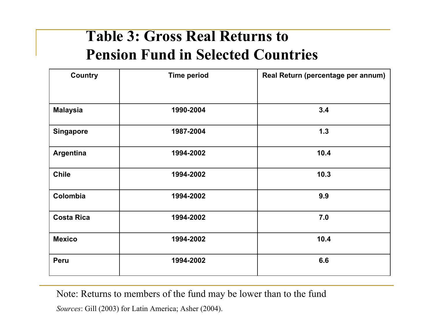#### **Table 3: Gross Real Returns to Pension Fund in Selected Countries**

| <b>Country</b>    | <b>Time period</b> | Real Return (percentage per annum) |  |  |
|-------------------|--------------------|------------------------------------|--|--|
|                   |                    |                                    |  |  |
| <b>Malaysia</b>   | 1990-2004          | 3.4                                |  |  |
| <b>Singapore</b>  | 1987-2004          | $1.3$                              |  |  |
| <b>Argentina</b>  | 1994-2002          | 10.4                               |  |  |
| <b>Chile</b>      | 1994-2002          | 10.3                               |  |  |
| Colombia          | 1994-2002          | 9.9                                |  |  |
| <b>Costa Rica</b> | 1994-2002          | 7.0                                |  |  |
| <b>Mexico</b>     | 1994-2002          | 10.4                               |  |  |
| <b>Peru</b>       | 1994-2002          | 6.6                                |  |  |

Note: Returns to members of the fund may be lower than to the fund

*Sources*: Gill (2003) for Latin America; Ash er (2004).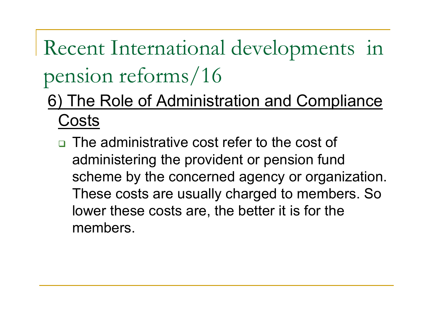- 6) The Role of Administration and Compliance Costs
	- □ The administrative cost refer to the cost of administering the provident or pension fund scheme by the concerned agency or organization. These costs are usually charged to members. So lower these costs are, the better it is for the members.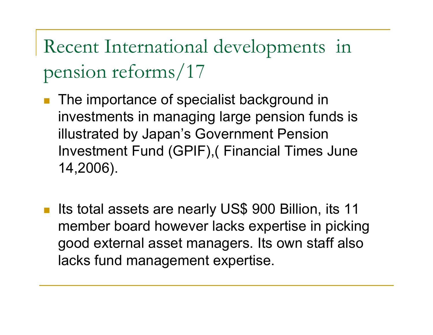- П The importance of specialist background in investments in managing large pension funds is illustrated by Japan's Government Pension Investment Fund (GPIF),( Financial Times June 14,2006).
- $\mathbb{R}^n$  Its total assets are nearly US\$ 900 Billion, its 11 member board however lacks expertise in picking good external asset managers. Its own staff also lacks fund management expertise.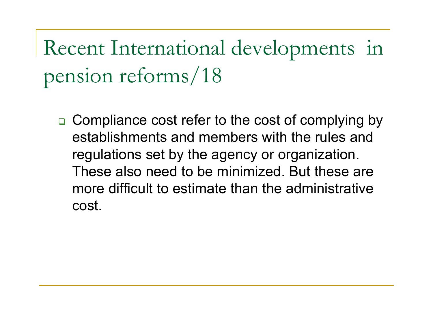□ Compliance cost refer to the cost of complying by establishments and members with the rules and regulations set by the agency or organization. These also need to be minimized. But these are more difficult to estimate than the administrative cost.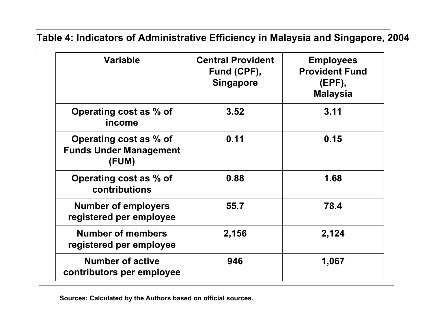**Table 4: Indicators of Administrative Efficiency in Malaysia and Singapore, 2004**

| <b>Variable</b>                                                  | <b>Central Provident</b><br>Fund (CPF),<br><b>Singapore</b> | <b>Employees</b><br><b>Provident Fund</b><br>$(EPF)$ ,<br><b>Malaysia</b> |  |
|------------------------------------------------------------------|-------------------------------------------------------------|---------------------------------------------------------------------------|--|
| Operating cost as % of<br>income                                 | 3.52                                                        | 3.11                                                                      |  |
| Operating cost as % of<br><b>Funds Under Management</b><br>(FUM) | 0.11                                                        | 0.15                                                                      |  |
| Operating cost as % of<br>contributions                          | 0.88                                                        | 1.68                                                                      |  |
| <b>Number of employers</b><br>registered per employee            | 55.7                                                        | 78.4                                                                      |  |
| <b>Number of members</b><br>registered per employee              | 2,156                                                       | 2,124                                                                     |  |
| <b>Number of active</b><br>contributors per employee             | 946<br>1,067                                                |                                                                           |  |

**Sources: Calculated b y the Authors based o n official sources.**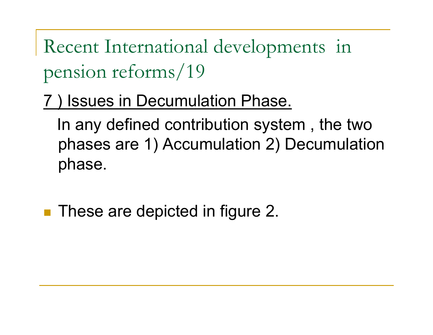) Issues in Decumulation Phase.

In any defined contribution system , the two phases are 1) Accumulation 2) Decumulation phase.

**These are depicted in figure 2.**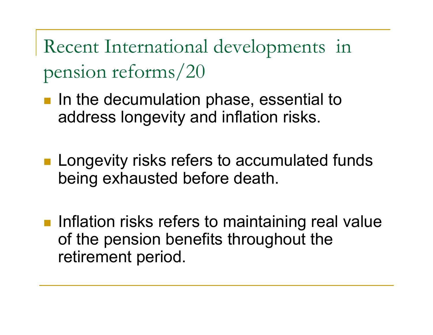- **If** in the decumulation phase, essential to address longevity and inflation risks.
- **Longevity risks refers to accumulated funds** being exhausted before death.
- **Inflation risks refers to maintaining real value** of the pension benefits throughout the retirement period.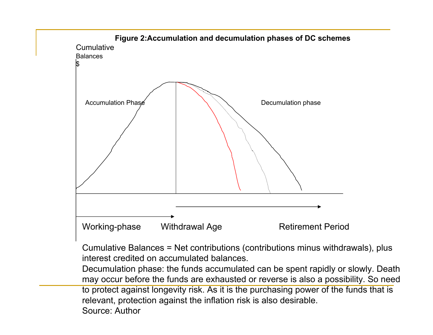

to protect against longevity risk. As it is the purchasing power of the funds that is relevant, protection against the inflation risk is also desirable.

Source: Author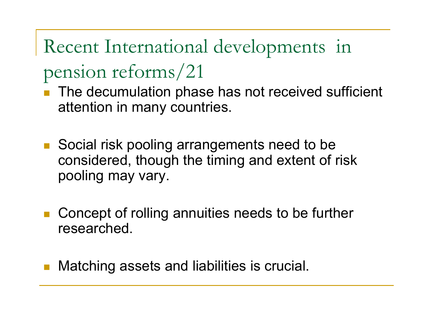- The decumulation phase has not received sufficient attention in many countries.
- $\mathbb{R}^2$  Social risk pooling arrangements need to be considered, though the timing and extent of risk pooling may vary.
- $\mathcal{L}(\mathcal{L})$  Concept of rolling annuities needs to be further researched.
- Matching assets and liabilities is crucial.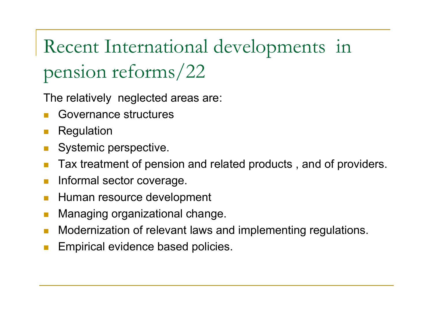The relatively neglected areas are:

- $\Box$ Governance structures
- $\Box$ Regulation
- m, Systemic perspective.
- $\Box$ Tax treatment of pension and related products , and of providers.
- $\Box$ Informal sector coverage.
- $\sim$ Human resource development
- m, Managing organizational change.
- $\Box$ Modernization of relevant laws and implementing regulations.
- $\Box$ Empirical evidence based policies.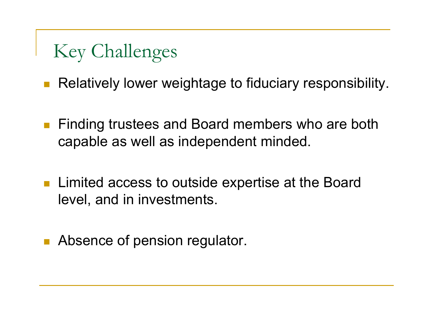#### Key Challenges

 $\mathcal{C}^{\mathcal{A}}$ Relatively lower weightage to fiduciary responsibility.

- $\mathcal{L}_{\mathcal{A}}$  Finding trustees and Board members who are both capable as well as independent minded.
- Limited access to outside expertise at the Board level, and in investments.
- П Absence of pension regulator.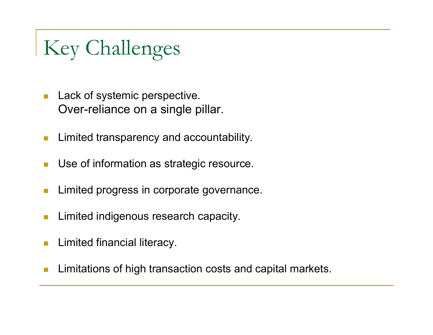## Key Challenges

- $\mathbb{R}^3$  Lack of systemic perspective. Over-reliance on a single pillar.
- **T** Limited transparency and accountability.
- п Use of information as strategic resource.
- m, Limited progress in corporate governance.
- Limited indigenous research capacity.
- n. Limited financial literacy.
- Limitations of high transaction costs and capital markets.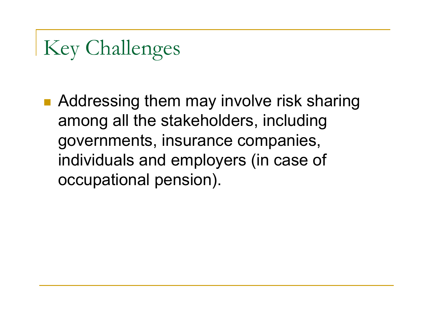### Key Challenges

■ Addressing them may involve risk sharing among all the stakeholders, including governments, insurance companies, individuals and employers (in case of occupational pension).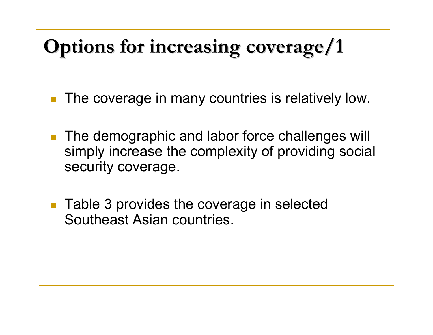#### **Options for increasing coverage/1 Options for increasing coverage/1**

- $\mathcal{L}_{\mathcal{A}}$ The coverage in many countries is relatively low.
- $\mathcal{L}_{\mathcal{A}}$  The demographic and labor force challenges will simpl y increase the complexity of providing social security coverage.
- $\mathcal{C}^{\mathcal{A}}$  Table 3 provides the coverage in selected Southeast Asian countries.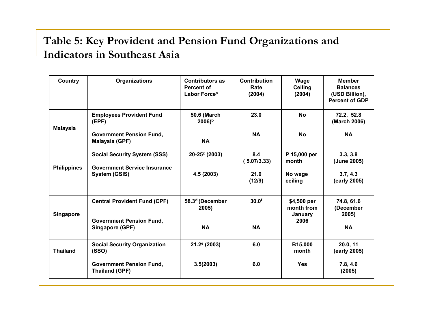#### **Table 5: Key Provident and Pension Fund Organizations and Indicators in Southeast Asi a**

| Country            | <b>Organizations</b>                                     | <b>Contributors as</b><br>Percent of<br>Labor Force <sup>a</sup> | <b>Contribution</b><br>Rate<br>(2004) | Wage<br><b>Ceiling</b><br>(2004)     | <b>Member</b><br><b>Balances</b><br>(USD Billion),<br><b>Percent of GDP</b> |
|--------------------|----------------------------------------------------------|------------------------------------------------------------------|---------------------------------------|--------------------------------------|-----------------------------------------------------------------------------|
| <b>Malaysia</b>    | <b>Employees Provident Fund</b><br>(EPF)                 | <b>50.6 (March</b><br>$2006$ <sup>b</sup>                        | 23.0                                  | <b>No</b>                            | 72.2, 52.8<br>(March 2006)                                                  |
|                    | <b>Government Pension Fund,</b><br>Malaysia (GPF)        | <b>NA</b>                                                        | <b>NA</b>                             | <b>No</b>                            | <b>NA</b>                                                                   |
| <b>Philippines</b> | <b>Social Security System (SSS)</b>                      | 20-25 <sup>c</sup> (2003)                                        | 8.4<br>(5.07/3.33)                    | P 15,000 per<br>month                | 3.3, 3.8<br>(June 2005)                                                     |
|                    | <b>Government Service Insurance</b><br>System (GSIS)     | 4.5 (2003)                                                       | 21.0<br>(12/9)                        | No wage<br>ceiling                   | 3.7, 4.3<br>(early 2005)                                                    |
| <b>Singapore</b>   | <b>Central Provident Fund (CPF)</b>                      | 58.3 <sup>d</sup> (December<br>2005)                             | 30.0 <sup>f</sup>                     | \$4,500 per<br>month from<br>January | 74.8, 61.6<br>(December<br>2005)                                            |
|                    | <b>Government Pension Fund,</b><br>Singapore (GPF)       | <b>NA</b>                                                        | <b>NA</b>                             | 2006                                 | <b>NA</b>                                                                   |
| <b>Thailand</b>    | <b>Social Security Organization</b><br>(SSO)             | $21.2$ <sup>e</sup> (2003)                                       | 6.0                                   | B15,000<br>month                     | 20.0, 11<br>(early 2005)                                                    |
|                    | <b>Government Pension Fund,</b><br><b>Thailand (GPF)</b> | 3.5(2003)                                                        | 6.0                                   | <b>Yes</b>                           | 7.8, 4.6<br>(2005)                                                          |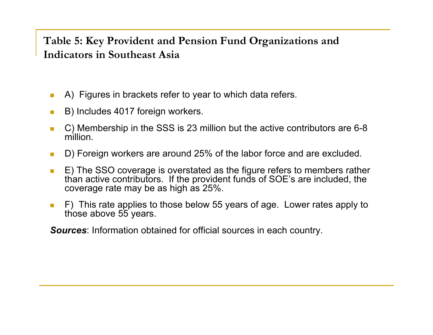#### **Table 5: Key Provident and Pension Fund Organizations and Indicators in Southeast Asia**

- $\mathcal{C}^{\mathcal{A}}$ ■ A) Figures in brackets refer to year to which data refers.
- $\mathcal{L}_{\mathcal{A}}$ B) Includes 4017 foreign workers.
- $\mathcal{C}^{\mathcal{A}}$  C) Membership in the SSS is 23 million but the active contributors are 6-8 million.
- $\mathcal{C}^{\mathcal{A}}$ D) Foreign workers are around 25% of the labor force and are excluded.
- $\overline{\phantom{a}}$  E) The SSO coverage is overstated as the figure refers to members rather than active contributors. If the provident funds of SOE's are included, the coverage rate may be as high as 25%.
- $\mathcal{C}^{\mathcal{A}}$  $F$ ) This rate applies to those below 55 years of age. Lower rates apply to ve 55 years.

**Sources**: Information obtained for official sources in each country.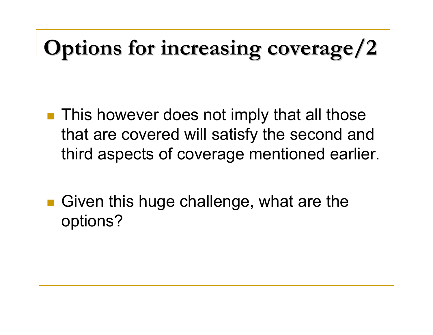# **Options for increasing coverage/2**

- **This however does not imply that all those** that are covered will satisfy the second and third aspects of coverage mentioned earlier.
- Given this huge challenge, what are the options?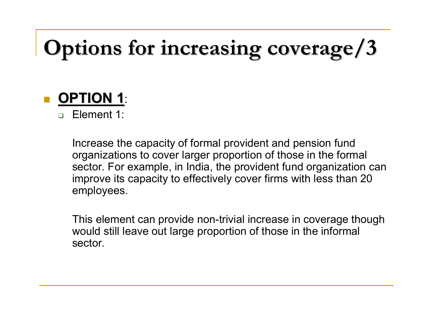# **Options for increasing coverage/3 Options for increasing coverage/3**



 $\Box$ Element 1:

> Increase the capacity of formal provident and pension fund organizations to cover larger proportion of those in the formal sector. For example, in India, the provident fund organization can improve its capacity to effectively cover firms with less than 20 employees.

> This element can provide non-trivial inc rease in coverage though would still leave out large proportion of those in the informal sector.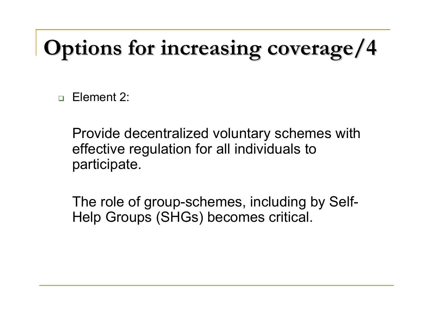# **Options for increasing coverage/4 Options for increasing coverage/4**

 $\Box$ Element 2:

> Provide decentralized voluntary schemes with effective regulation for all individuals to participate.

The role of group-schemes, including by Self-Help Groups (SHGs) becomes critical.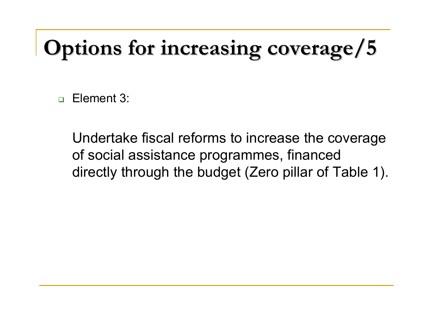# **Options for increasing coverage/5 Options for increasing coverage/5**

 $\Box$ Element 3:

> Undertake fiscal reforms to increase the coverage of social assistance programmes, financed directly through the budget (Zero pillar of Table 1).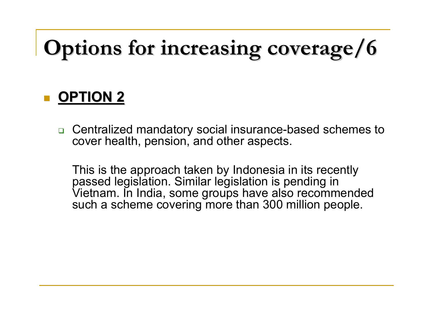# **Options for increasing coverage/6 Options for increasing coverage/6**

#### **D** OPTION 2

 Centralized mandatory social insurance-based schemes to cover health, pension, and other aspects.

This is the approach taken by Indonesia in its recently passed legislation. Similar legislation is pending in Vietnam. In India, some groups have also recommended such a scheme covering more than 300 million people.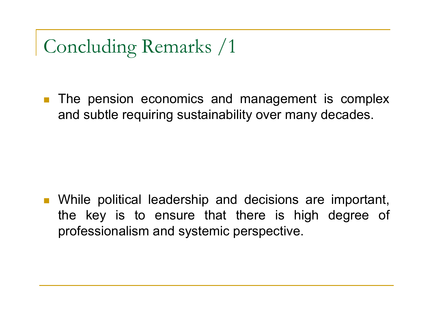**The pension economics and management is complex** and subtle requiring sustainability over many decades.

**Nimilary 19 Theorge Theorian II and Secisions are important,** the key is to ensure that there is high degree of professionalism and systemic perspective.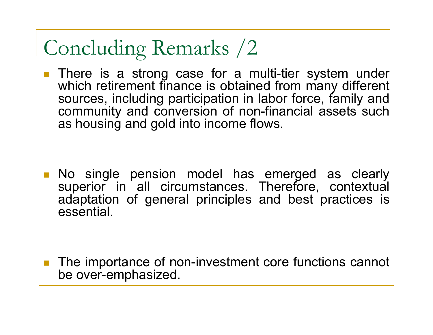**There is a strong case for a multi-tier system under** which retirement finance is obtained from many different sources, including participation in labor force, family and community and conversion of non-financial assets such as housing and gold into income flows.

**No single pension model has emerged as clearly** superior in all circumstances. Therefore, contextual adaptation of general principles and best practices is essential.

■ The importance of non-investment core functions cannot be over-emphasized.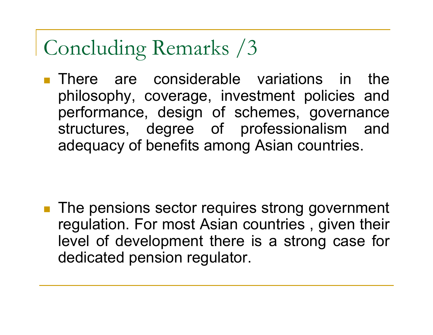**There are considerable variations in the** philosophy, coverage, investment policies and performance, design of schemes, governance structures, degree of professionalism and adequacy of benefits among Asian countries.

■ The pensions sector requires strong government regulation. For most Asian countries , given their level of development there is a strong case for dedicated pension regulator.